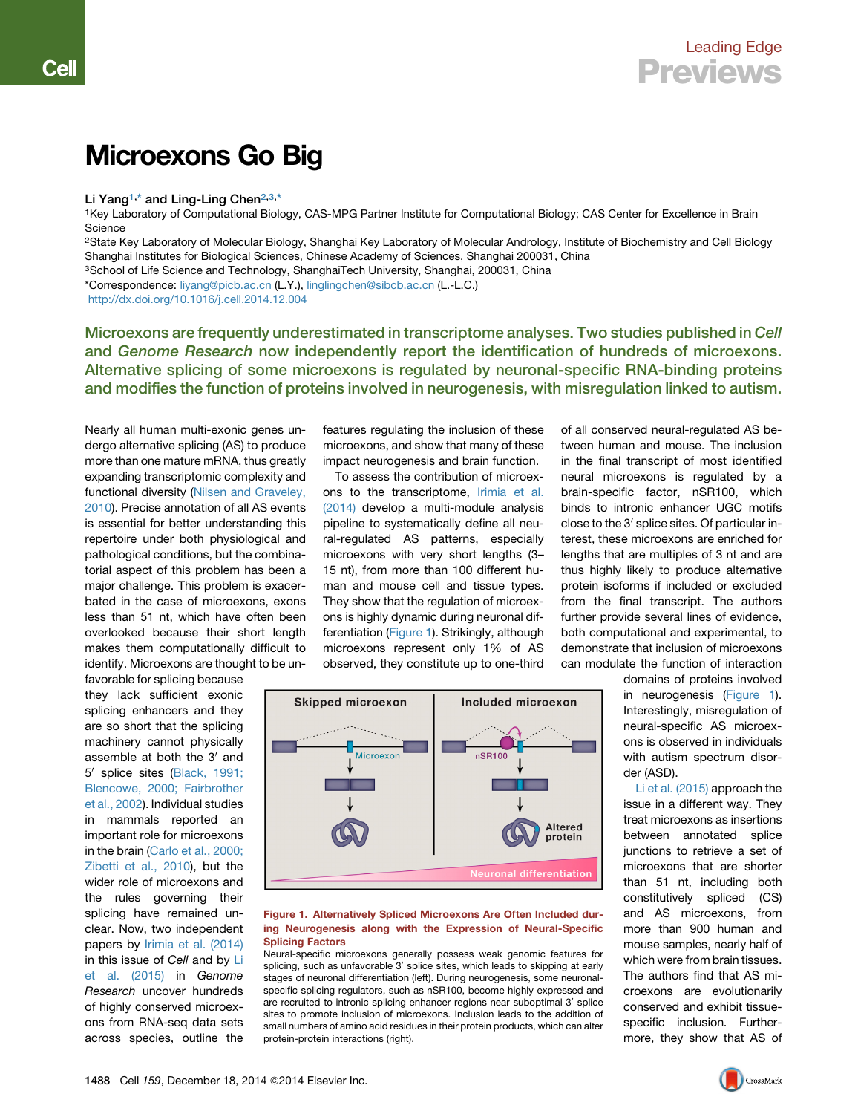# Microexons Go Big

## Li Yang<sup>[1,](#page-0-0)\*</sup> and Ling-Ling Chen<sup>[2](#page-0-1)[,3,](#page-0-2)[\\*](#page-0-3)</sup>

<span id="page-0-0"></span>1Key Laboratory of Computational Biology, CAS-MPG Partner Institute for Computational Biology; CAS Center for Excellence in Brain **Science** 

<span id="page-0-1"></span>2State Key Laboratory of Molecular Biology, Shanghai Key Laboratory of Molecular Andrology, Institute of Biochemistry and Cell Biology Shanghai Institutes for Biological Sciences, Chinese Academy of Sciences, Shanghai 200031, China

<span id="page-0-2"></span><sup>3</sup>School of Life Science and Technology, ShanghaiTech University, Shanghai, 200031, China

<span id="page-0-3"></span>\*Correspondence: [liyang@picb.ac.cn](mailto:liyang@picb.ac.cn) (L.Y.), [linglingchen@sibcb.ac.cn](mailto:linglingchen@sibcb.ac.cn) (L.-L.C.)

<http://dx.doi.org/10.1016/j.cell.2014.12.004>

Microexons are frequently underestimated in transcriptome analyses. Two studies published in Cell and Genome Research now independently report the identification of hundreds of microexons. Alternative splicing of some microexons is regulated by neuronal-specific RNA-binding proteins and modifies the function of proteins involved in neurogenesis, with misregulation linked to autism.

Nearly all human multi-exonic genes undergo alternative splicing (AS) to produce more than one mature mRNA, thus greatly expanding transcriptomic complexity and functional diversity [\(Nilsen and Graveley,](#page-1-0) [2010](#page-1-0)). Precise annotation of all AS events is essential for better understanding this repertoire under both physiological and pathological conditions, but the combinatorial aspect of this problem has been a major challenge. This problem is exacerbated in the case of microexons, exons less than 51 nt, which have often been overlooked because their short length makes them computationally difficult to identify. Microexons are thought to be un-

favorable for splicing because they lack sufficient exonic splicing enhancers and they are so short that the splicing machinery cannot physically assemble at both the 3' and 5' splice sites ([Black, 1991;](#page-1-1) [Blencowe, 2000; Fairbrother](#page-1-1) [et al., 2002](#page-1-1)). Individual studies in mammals reported an important role for microexons in the brain [\(Carlo et al., 2000;](#page-1-2) [Zibetti et al., 2010\)](#page-1-2), but the wider role of microexons and the rules governing their splicing have remained unclear. Now, two independent papers by [Irimia et al. \(2014\)](#page-1-3) in this issue of *Cell* and by [Li](#page-1-4) [et al. \(2015\)](#page-1-4) in *Genome Research* uncover hundreds of highly conserved microexons from RNA-seq data sets across species, outline the

features regulating the inclusion of these microexons, and show that many of these impact neurogenesis and brain function.

To assess the contribution of microexons to the transcriptome, [Irimia et al.](#page-1-3) [\(2014\)](#page-1-3) develop a multi-module analysis pipeline to systematically define all neural-regulated AS patterns, especially microexons with very short lengths (3– 15 nt), from more than 100 different human and mouse cell and tissue types. They show that the regulation of microexons is highly dynamic during neuronal differentiation ([Figure 1](#page-0-4)). Strikingly, although microexons represent only 1% of AS observed, they constitute up to one-third

of all conserved neural-regulated AS between human and mouse. The inclusion in the final transcript of most identified neural microexons is regulated by a brain-specific factor, nSR100, which binds to intronic enhancer UGC motifs close to the  $3'$  splice sites. Of particular interest, these microexons are enriched for lengths that are multiples of 3 nt and are thus highly likely to produce alternative protein isoforms if included or excluded from the final transcript. The authors further provide several lines of evidence, both computational and experimental, to demonstrate that inclusion of microexons can modulate the function of interaction

<span id="page-0-4"></span>

#### Figure 1. Alternatively Spliced Microexons Are Often Included during Neurogenesis along with the Expression of Neural-Specific Splicing Factors

Neural-specific microexons generally possess weak genomic features for splicing, such as unfavorable 3' splice sites, which leads to skipping at early stages of neuronal differentiation (left). During neurogenesis, some neuronalspecific splicing regulators, such as nSR100, become highly expressed and are recruited to intronic splicing enhancer regions near suboptimal 3' splice sites to promote inclusion of microexons. Inclusion leads to the addition of small numbers of amino acid residues in their protein products, which can alter protein-protein interactions (right).

domains of proteins involved in neurogenesis ([Figure 1](#page-0-4)). Interestingly, misregulation of neural-specific AS microexons is observed in individuals with autism spectrum disorder (ASD).

[Li et al. \(2015\)](#page-1-4) approach the issue in a different way. They treat microexons as insertions between annotated splice junctions to retrieve a set of microexons that are shorter than 51 nt, including both constitutively spliced (CS) and AS microexons, from more than 900 human and mouse samples, nearly half of which were from brain tissues. The authors find that AS microexons are evolutionarily conserved and exhibit tissuespecific inclusion. Furthermore, they show that AS of